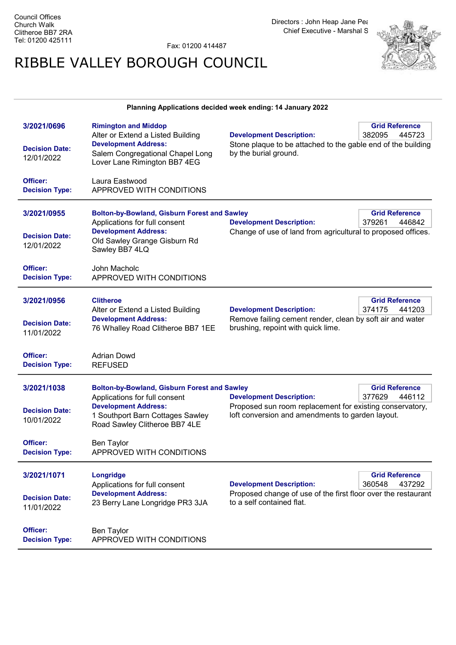Fax: 01200 414487

## RIBBLE VALLEY BOROUGH COUNCIL



## Planning Applications decided week ending: 14 January 2022

| 3/2021/0696<br><b>Decision Date:</b><br>12/01/2022<br>Officer:<br><b>Decision Type:</b> | <b>Rimington and Middop</b><br>Alter or Extend a Listed Building<br><b>Development Address:</b><br>Salem Congregational Chapel Long<br>Lover Lane Rimington BB7 4EG<br>Laura Eastwood<br>APPROVED WITH CONDITIONS | <b>Development Description:</b><br>Stone plaque to be attached to the gable end of the building<br>by the burial ground.                                                                     | <b>Grid Reference</b><br>382095<br>445723 |
|-----------------------------------------------------------------------------------------|-------------------------------------------------------------------------------------------------------------------------------------------------------------------------------------------------------------------|----------------------------------------------------------------------------------------------------------------------------------------------------------------------------------------------|-------------------------------------------|
| 3/2021/0955<br><b>Decision Date:</b><br>12/01/2022                                      | <b>Bolton-by-Bowland, Gisburn Forest and Sawley</b><br>Applications for full consent<br><b>Development Address:</b><br>Old Sawley Grange Gisburn Rd<br>Sawley BB7 4LQ                                             | <b>Development Description:</b><br>Change of use of land from agricultural to proposed offices.                                                                                              | <b>Grid Reference</b><br>379261<br>446842 |
| Officer:<br><b>Decision Type:</b>                                                       | John Macholc<br>APPROVED WITH CONDITIONS                                                                                                                                                                          |                                                                                                                                                                                              |                                           |
| 3/2021/0956<br><b>Decision Date:</b><br>11/01/2022                                      | <b>Clitheroe</b><br>Alter or Extend a Listed Building<br><b>Development Address:</b><br>76 Whalley Road Clitheroe BB7 1EE                                                                                         | <b>Development Description:</b><br>Remove failing cement render, clean by soft air and water<br>brushing, repoint with quick lime.                                                           | <b>Grid Reference</b><br>374175<br>441203 |
| Officer:<br><b>Decision Type:</b>                                                       | <b>Adrian Dowd</b><br><b>REFUSED</b>                                                                                                                                                                              |                                                                                                                                                                                              |                                           |
| 3/2021/1038<br><b>Decision Date:</b><br>10/01/2022                                      | <b>Bolton-by-Bowland, Gisburn Forest and Sawley</b><br>Applications for full consent<br><b>Development Address:</b><br>1 Southport Barn Cottages Sawley<br>Road Sawley Clitheroe BB7 4LE                          | <b>Grid Reference</b><br>377629<br><b>Development Description:</b><br>446112<br>Proposed sun room replacement for existing conservatory,<br>loft conversion and amendments to garden layout. |                                           |
| Officer:<br><b>Decision Type:</b>                                                       | <b>Ben Taylor</b><br>APPROVED WITH CONDITIONS                                                                                                                                                                     |                                                                                                                                                                                              |                                           |
| 3/2021/1071<br><b>Decision Date:</b><br>11/01/2022                                      | Longridge<br>Applications for full consent<br><b>Development Address:</b><br>23 Berry Lane Longridge PR3 3JA                                                                                                      | <b>Development Description:</b><br>Proposed change of use of the first floor over the restaurant<br>to a self contained flat.                                                                | <b>Grid Reference</b><br>360548<br>437292 |
| Officer:<br><b>Decision Type:</b>                                                       | Ben Taylor<br>APPROVED WITH CONDITIONS                                                                                                                                                                            |                                                                                                                                                                                              |                                           |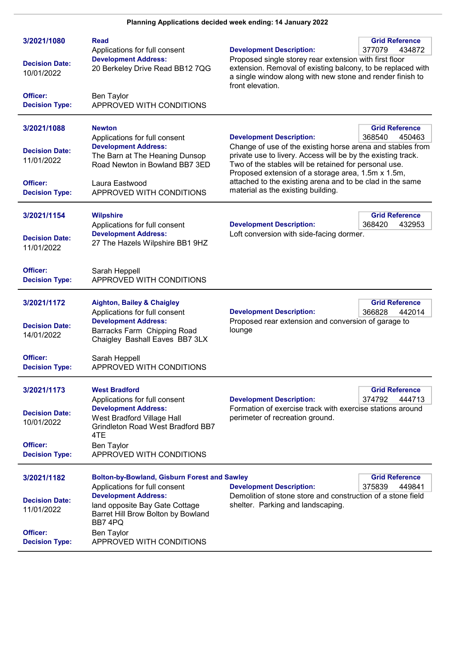| 3/2021/1080<br><b>Decision Date:</b><br>10/01/2022<br>Officer:<br><b>Decision Type:</b> | Read<br>Applications for full consent<br><b>Development Address:</b><br>20 Berkeley Drive Read BB12 7QG<br><b>Ben Taylor</b><br>APPROVED WITH CONDITIONS                                                                                                | <b>Development Description:</b><br>Proposed single storey rear extension with first floor<br>extension. Removal of existing balcony, to be replaced with<br>a single window along with new stone and render finish to<br>front elevation.                                                                                                                                       | <b>Grid Reference</b><br>377079<br>434872 |
|-----------------------------------------------------------------------------------------|---------------------------------------------------------------------------------------------------------------------------------------------------------------------------------------------------------------------------------------------------------|---------------------------------------------------------------------------------------------------------------------------------------------------------------------------------------------------------------------------------------------------------------------------------------------------------------------------------------------------------------------------------|-------------------------------------------|
| 3/2021/1088<br><b>Decision Date:</b><br>11/01/2022<br>Officer:<br><b>Decision Type:</b> | <b>Newton</b><br>Applications for full consent<br><b>Development Address:</b><br>The Barn at The Heaning Dunsop<br>Road Newton in Bowland BB7 3ED<br>Laura Eastwood<br>APPROVED WITH CONDITIONS                                                         | <b>Development Description:</b><br>Change of use of the existing horse arena and stables from<br>private use to livery. Access will be by the existing track.<br>Two of the stables will be retained for personal use.<br>Proposed extension of a storage area, 1.5m x 1.5m,<br>attached to the existing arena and to be clad in the same<br>material as the existing building. | <b>Grid Reference</b><br>368540<br>450463 |
| 3/2021/1154<br><b>Decision Date:</b><br>11/01/2022                                      | <b>Wilpshire</b><br>Applications for full consent<br><b>Development Address:</b><br>27 The Hazels Wilpshire BB1 9HZ                                                                                                                                     | <b>Development Description:</b><br>Loft conversion with side-facing dormer.                                                                                                                                                                                                                                                                                                     | <b>Grid Reference</b><br>368420<br>432953 |
| <b>Officer:</b><br><b>Decision Type:</b>                                                | Sarah Heppell<br>APPROVED WITH CONDITIONS                                                                                                                                                                                                               |                                                                                                                                                                                                                                                                                                                                                                                 |                                           |
| 3/2021/1172<br><b>Decision Date:</b><br>14/01/2022<br>Officer:<br><b>Decision Type:</b> | <b>Aighton, Bailey &amp; Chaigley</b><br>Applications for full consent<br><b>Development Address:</b><br>Barracks Farm Chipping Road<br>Chaigley Bashall Eaves BB7 3LX<br>Sarah Heppell<br>APPROVED WITH CONDITIONS                                     | <b>Development Description:</b><br>Proposed rear extension and conversion of garage to<br>lounge                                                                                                                                                                                                                                                                                | <b>Grid Reference</b><br>366828<br>442014 |
| 3/2021/1173<br><b>Decision Date:</b><br>10/01/2022<br>Officer:<br><b>Decision Type:</b> | <b>West Bradford</b><br>Applications for full consent<br><b>Development Address:</b><br>West Bradford Village Hall<br><b>Grindleton Road West Bradford BB7</b><br>4TE<br><b>Ben Taylor</b><br>APPROVED WITH CONDITIONS                                  | <b>Development Description:</b><br>Formation of exercise track with exercise stations around<br>perimeter of recreation ground.                                                                                                                                                                                                                                                 | <b>Grid Reference</b><br>374792<br>444713 |
| 3/2021/1182<br><b>Decision Date:</b><br>11/01/2022<br>Officer:<br><b>Decision Type:</b> | <b>Bolton-by-Bowland, Gisburn Forest and Sawley</b><br>Applications for full consent<br><b>Development Address:</b><br>land opposite Bay Gate Cottage<br>Barret Hill Brow Bolton by Bowland<br>BB7 4PQ<br><b>Ben Taylor</b><br>APPROVED WITH CONDITIONS | <b>Development Description:</b><br>Demolition of stone store and construction of a stone field<br>shelter. Parking and landscaping.                                                                                                                                                                                                                                             | <b>Grid Reference</b><br>375839<br>449841 |